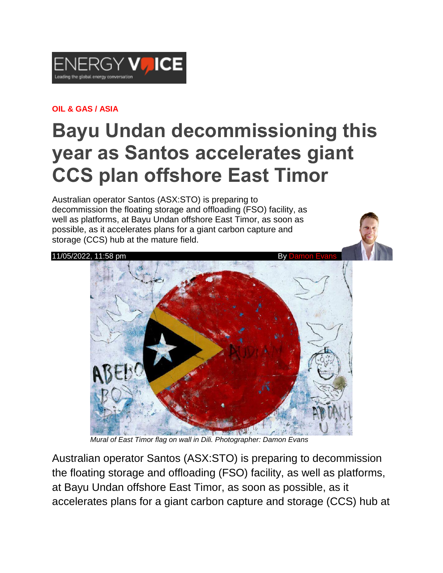

## **OIL & GAS / ASIA**

## **Bayu Undan decommissioning this year as Santos accelerates giant CCS plan offshore East Timor**

Australian operator Santos (ASX:STO) is preparing to decommission the floating storage and offloading (FSO) facility, as well as platforms, at Bayu Undan offshore East Timor, as soon as possible, as it accelerates plans for a giant carbon capture and storage (CCS) hub at the mature field.



 *Mural of East Timor flag on wall in Dili. Photographer: Damon Evans*

Australian operator Santos (ASX:STO) is preparing to decommission the floating storage and offloading (FSO) facility, as well as platforms, at Bayu Undan offshore East Timor, as soon as possible, as it accelerates plans for a giant carbon capture and storage (CCS) hub at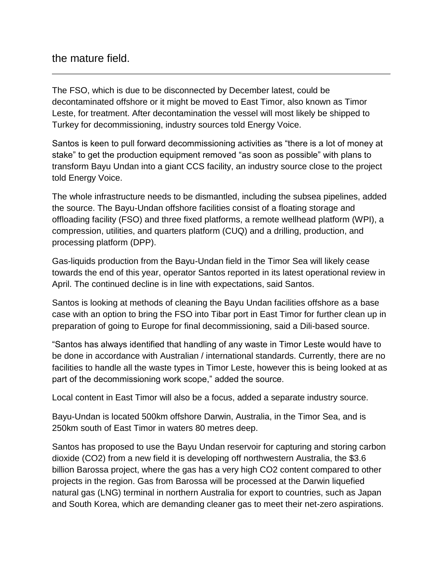## the mature field.

The FSO, which is due to be disconnected by December latest, could be decontaminated offshore or it might be moved to East Timor, also known as Timor Leste, for treatment. After decontamination the vessel will most likely be shipped to Turkey for decommissioning, industry sources told Energy Voice.

Santos is keen to pull forward decommissioning activities as "there is a lot of money at stake" to get the production equipment removed "as soon as possible" with plans to transform Bayu Undan into a giant CCS facility, an industry source close to the project told Energy Voice.

The whole infrastructure needs to be dismantled, including the subsea pipelines, added the source. The Bayu-Undan offshore facilities consist of a floating storage and offloading facility (FSO) and three fixed platforms, a remote wellhead platform (WPI), a compression, utilities, and quarters platform (CUQ) and a drilling, production, and processing platform (DPP).

Gas-liquids production from the Bayu-Undan field in the Timor Sea will likely cease towards the end of this year, operator Santos reported in its latest operational review in April. The continued decline is in line with expectations, said Santos.

Santos is looking at methods of cleaning the Bayu Undan facilities offshore as a base case with an option to bring the FSO into Tibar port in East Timor for further clean up in preparation of going to Europe for final decommissioning, said a Dili-based source.

"Santos has always identified that handling of any waste in Timor Leste would have to be done in accordance with Australian / international standards. Currently, there are no facilities to handle all the waste types in Timor Leste, however this is being looked at as part of the decommissioning work scope," added the source.

Local content in East Timor will also be a focus, added a separate industry source.

Bayu-Undan is located 500km offshore Darwin, Australia, in the Timor Sea, and is 250km south of East Timor in waters 80 metres deep.

Santos has proposed to use the Bayu Undan reservoir for capturing and storing carbon dioxide (CO2) from a new field it is developing off northwestern Australia, the \$3.6 billion Barossa project, where the gas has a very high CO2 content compared to other projects in the region. Gas from Barossa will be processed at the Darwin liquefied natural gas (LNG) terminal in northern Australia for export to countries, such as Japan and South Korea, which are demanding cleaner gas to meet their net-zero aspirations.